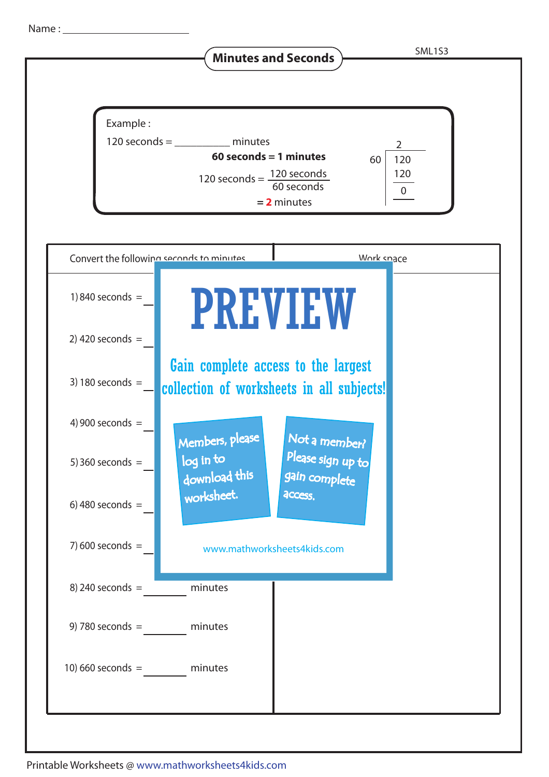